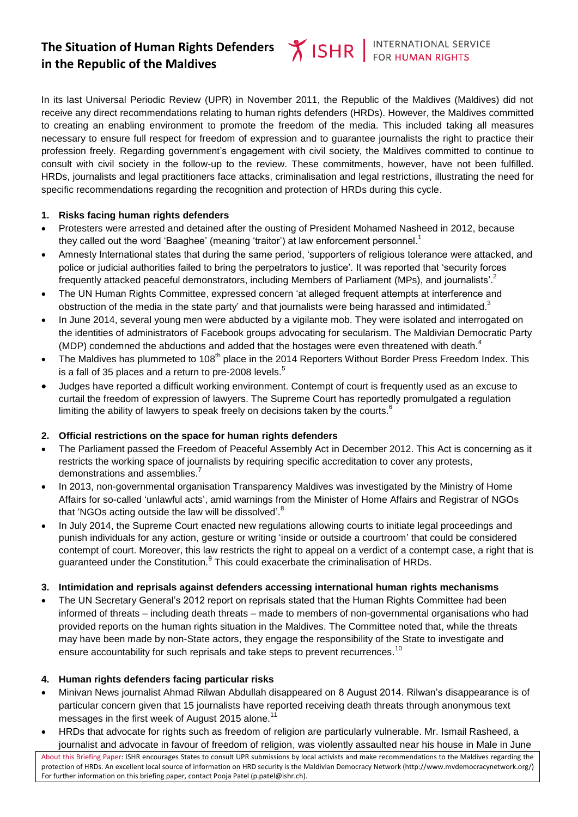# **The Situation of Human Rights Defenders in the Republic of the Maldives**

In its last Universal Periodic Review (UPR) in November 2011, the Republic of the Maldives (Maldives) did not receive any direct recommendations relating to human rights defenders (HRDs). However, the Maldives committed to creating an enabling environment to promote the freedom of the media. This included taking all measures necessary to ensure full respect for freedom of expression and to guarantee journalists the right to practice their profession freely. Regarding government's engagement with civil society, the Maldives committed to continue to consult with civil society in the follow-up to the review. These commitments, however, have not been fulfilled. HRDs, journalists and legal practitioners face attacks, criminalisation and legal restrictions, illustrating the need for specific recommendations regarding the recognition and protection of HRDs during this cycle.

#### **1. Risks facing human rights defenders**

- Protesters were arrested and detained after the ousting of President Mohamed Nasheed in 2012, because they called out the word 'Baaghee' (meaning 'traitor') at law enforcement personnel.<sup>1</sup>
- Amnesty International states that during the same period, 'supporters of religious tolerance were attacked, and police or judicial authorities failed to bring the perpetrators to justice'. It was reported that 'security forces frequently attacked peaceful demonstrators, including Members of Parliament (MPs), and journalists'.<sup>2</sup>
- The UN Human Rights Committee, expressed concern 'at alleged frequent attempts at interference and obstruction of the media in the state party' and that journalists were being harassed and intimidated.<sup>3</sup>
- In June 2014, several young men were abducted by a vigilante mob. They were isolated and interrogated on the identities of administrators of Facebook groups advocating for secularism. The Maldivian Democratic Party (MDP) condemned the abductions and added that the hostages were even threatened with death. $4$
- The Maldives has plummeted to 108<sup>th</sup> place in the 2014 Reporters Without Border Press Freedom Index. This is a fall of 35 places and a return to pre-2008 levels. $^{\rm 5}$
- Judges have reported a difficult working environment. Contempt of court is frequently used as an excuse to curtail the freedom of expression of lawyers. The Supreme Court has reportedly promulgated a regulation limiting the ability of lawyers to speak freely on decisions taken by the courts. $<sup>6</sup>$ </sup>

#### **2. Official restrictions on the space for human rights defenders**

- The Parliament passed the Freedom of Peaceful Assembly Act in December 2012. This Act is concerning as it restricts the working space of journalists by requiring specific accreditation to cover any protests, demonstrations and assemblies.<sup>7</sup>
- In 2013, non-governmental organisation Transparency Maldives was investigated by the Ministry of Home Affairs for so-called 'unlawful acts', amid warnings from the Minister of Home Affairs and Registrar of NGOs that 'NGOs acting outside the law will be dissolved'.<sup>8</sup>
- In July 2014, the Supreme Court enacted new regulations allowing courts to initiate legal proceedings and punish individuals for any action, gesture or writing 'inside or outside a courtroom' that could be considered contempt of court. Moreover, this law restricts the right to appeal on a verdict of a contempt case, a right that is guaranteed under the Constitution.<sup>9</sup> This could exacerbate the criminalisation of HRDs.

## **3. Intimidation and reprisals against defenders accessing international human rights mechanisms**

 The UN Secretary General's 2012 report on reprisals stated that the Human Rights Committee had been informed of threats – including death threats – made to members of non-governmental organisations who had provided reports on the human rights situation in the Maldives. The Committee noted that, while the threats may have been made by non-State actors, they engage the responsibility of the State to investigate and ensure accountability for such reprisals and take steps to prevent recurrences.<sup>10</sup>

#### **4. Human rights defenders facing particular risks**

- Minivan News journalist Ahmad Rilwan Abdullah disappeared on 8 August 2014. Rilwan's disappearance is of particular concern given that 15 journalists have reported receiving death threats through anonymous text messages in the first week of August 2015 alone.<sup>11</sup>
- HRDs that advocate for rights such as freedom of religion are particularly vulnerable. Mr. Ismail Rasheed, a journalist and advocate in favour of freedom of religion, was violently assaulted near his house in Male in June

About this Briefing Paper: ISHR encourages States to consult UPR submissions by local activists and make recommendations to the Maldives regarding the protection of HRDs. An excellent local source of information on HRD security is the Maldivian Democracy Network (http://www.mvdemocracynetwork.org/) For further information on this briefing paper, contact Pooja Patel (p.patel@ishr.ch).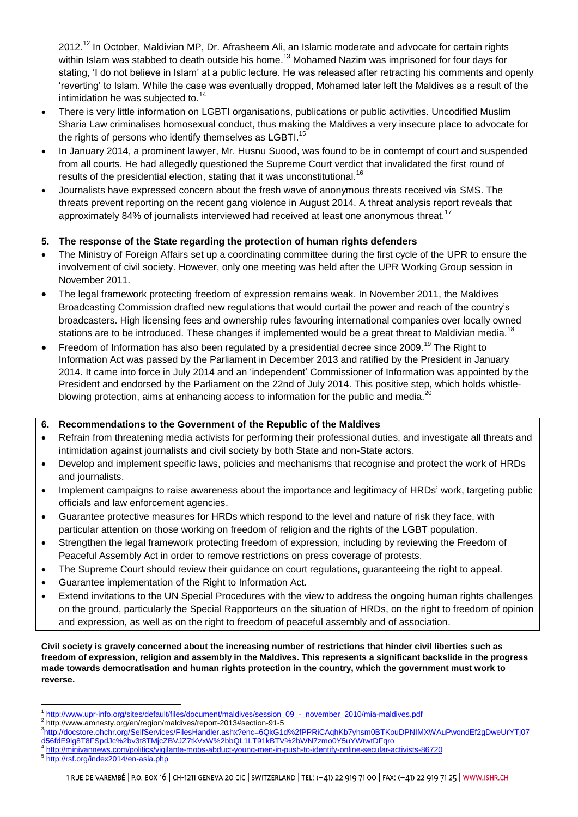2012.<sup>12</sup> In October, Maldivian MP, Dr. Afrasheem Ali, an Islamic moderate and advocate for certain rights within Islam was stabbed to death outside his home.<sup>13</sup> Mohamed Nazim was imprisoned for four days for stating, 'I do not believe in Islam' at a public lecture. He was released after retracting his comments and openly 'reverting' to Islam. While the case was eventually dropped, Mohamed later left the Maldives as a result of the intimidation he was subjected to. $14$ 

- There is very little information on LGBTI organisations, publications or public activities. Uncodified Muslim Sharia Law criminalises homosexual conduct, thus making the Maldives a very insecure place to advocate for the rights of persons who identify themselves as LGBTI. $^{15}$
- In January 2014, a prominent lawyer, Mr. Husnu Suood, was found to be in contempt of court and suspended from all courts. He had allegedly questioned the Supreme Court verdict that invalidated the first round of results of the presidential election, stating that it was unconstitutional.<sup>16</sup>
- Journalists have expressed concern about the fresh wave of anonymous threats received via SMS. The threats prevent reporting on the recent gang violence in August 2014. A threat analysis report reveals that approximately 84% of journalists interviewed had received at least one anonymous threat.<sup>17</sup>

## **5. The response of the State regarding the protection of human rights defenders**

- The Ministry of Foreign Affairs set up a coordinating committee during the first cycle of the UPR to ensure the involvement of civil society. However, only one meeting was held after the UPR Working Group session in November 2011.
- The legal framework protecting freedom of expression remains weak. In November 2011, the Maldives Broadcasting Commission drafted new regulations that would curtail the power and reach of the country's broadcasters. High licensing fees and ownership rules favouring international companies over locally owned stations are to be introduced. These changes if implemented would be a great threat to Maldivian media.<sup>18</sup>
- Freedom of Information has also been regulated by a presidential decree since 2009.<sup>19</sup> The Right to Information Act was passed by the Parliament in December 2013 and ratified by the President in January 2014. It came into force in July 2014 and an 'independent' Commissioner of Information was appointed by the President and endorsed by the Parliament on the 22nd of July 2014. This positive step, which holds whistleblowing protection, aims at enhancing access to information for the public and media.<sup>20</sup>

## **6. Recommendations to the Government of the Republic of the Maldives**

- Refrain from threatening media activists for performing their professional duties, and investigate all threats and intimidation against journalists and civil society by both State and non-State actors.
- Develop and implement specific laws, policies and mechanisms that recognise and protect the work of HRDs and journalists.
- Implement campaigns to raise awareness about the importance and legitimacy of HRDs' work, targeting public officials and law enforcement agencies.
- Guarantee protective measures for HRDs which respond to the level and nature of risk they face, with particular attention on those working on freedom of religion and the rights of the LGBT population.
- Strengthen the legal framework protecting freedom of expression, including by reviewing the Freedom of Peaceful Assembly Act in order to remove restrictions on press coverage of protests.
- The Supreme Court should review their guidance on court regulations, guaranteeing the right to appeal.
- Guarantee implementation of the Right to Information Act.
- Extend invitations to the UN Special Procedures with the view to address the ongoing human rights challenges on the ground, particularly the Special Rapporteurs on the situation of HRDs, on the right to freedom of opinion and expression, as well as on the right to freedom of peaceful assembly and of association.

**Civil society is gravely concerned about the increasing number of restrictions that hinder civil liberties such as freedom of expression, religion and assembly in the Maldives. This represents a significant backslide in the progress made towards democratisation and human rights protection in the country, which the government must work to reverse.** 

<sup>2</sup> http://www.amnesty.org/en/region/maldives/report-2013#section-91-5

- <http://minivannews.com/politics/vigilante-mobs-abduct-young-men-in-push-to-identify-online-secular-activists-86720>
- 5 <http://rsf.org/index2014/en-asia.php>

 $\overline{a}$ <sup>1</sup> [http://www.upr-info.org/sites/default/files/document/maldives/session\\_09\\_-\\_november\\_2010/mia-maldives.pdf](http://www.upr-info.org/sites/default/files/document/maldives/session_09_-_november_2010/mia-maldives.pdf)

<sup>3</sup> [http://docstore.ohchr.org/SelfServices/FilesHandler.ashx?enc=6QkG1d%2fPPRiCAqhKb7yhsm0BTKouDPNIMXWAuPwondEf2gDweUrYTj07](http://docstore.ohchr.org/SelfServices/FilesHandler.ashx?enc=6QkG1d%2fPPRiCAqhKb7yhsm0BTKouDPNIMXWAuPwondEf2gDweUrYTj07d56fdE9lg8T8FSpdJc%2bv3t8TMjcZBVJZ7tkVxW%2bbQL1LT91kBTV%2bWN7zmo0Y5uYWtwtDFqro) [d56fdE9lg8T8FSpdJc%2bv3t8TMjcZBVJZ7tkVxW%2bbQL1LT91kBTV%2bWN7zmo0Y5uYWtwtDFqro](http://docstore.ohchr.org/SelfServices/FilesHandler.ashx?enc=6QkG1d%2fPPRiCAqhKb7yhsm0BTKouDPNIMXWAuPwondEf2gDweUrYTj07d56fdE9lg8T8FSpdJc%2bv3t8TMjcZBVJZ7tkVxW%2bbQL1LT91kBTV%2bWN7zmo0Y5uYWtwtDFqro) 4